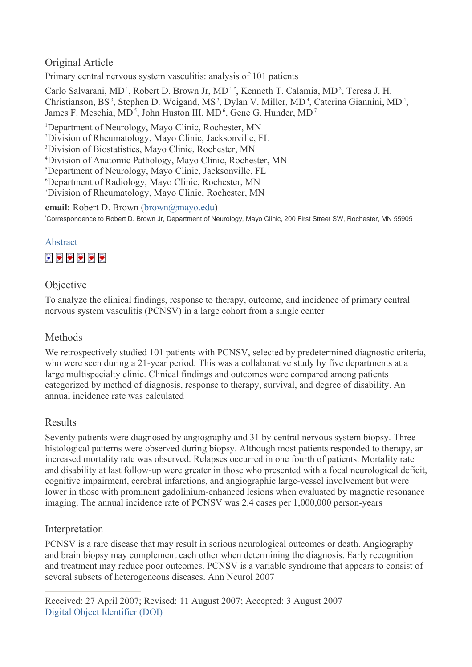# Original Article

Primary central nervous system vasculitis: analysis of 101 patients

Carlo Salvarani, MD<sup>1</sup>, Robert D. Brown Jr, MD<sup>1</sup><sup>\*</sup>, Kenneth T. Calamia, MD<sup>2</sup>, Teresa J. H. Christianson, BS<sup>3</sup>, Stephen D. Weigand, MS<sup>3</sup>, Dylan V. Miller, MD<sup>4</sup>, Caterina Giannini, MD<sup>4</sup>, James F. Meschia, MD<sup>5</sup>, John Huston III, MD<sup>6</sup>, Gene G. Hunder, MD<sup>7</sup>

<sup>1</sup>Department of Neurology, Mayo Clinic, Rochester, MN<br><sup>2</sup>Division of Rhaumatology, Mayo Clinic, Jacksonville, E Division of Rheumatology, Mayo Clinic, Jacksonville, FL 3 Division of Biostatistics, Mayo Clinic, Rochester, MN <sup>4</sup> Division of Anatomic Pathology, Mayo Clinic, Rochester, MN<br><sup>5</sup> Department of Neurology, Mayo Clinic, Jacksonville, FL Department of Neurology, Mayo Clinic, Jacksonville, FL 6 Department of Radiology, Mayo Clinic, Rochester, MN 7 Division of Rheumatology, Mayo Clinic, Rochester, MN

**email:** Robert D. Brown ([brown@mayo.edu](mailto:brown@mayo.edu))

\* Correspondence to Robert D. Brown Jr, Department of Neurology, Mayo Clinic, 200 First Street SW, Rochester, MN 55905



# Objective

To analyze the clinical findings, response to therapy, outcome, and incidence of primary central nervous system vasculitis (PCNSV) in a large cohort from a single center

# Methods

We retrospectively studied 101 patients with PCNSV, selected by predetermined diagnostic criteria, who were seen during a 21-year period. This was a collaborative study by five departments at a large multispecialty clinic. Clinical findings and outcomes were compared among patients categorized by method of diagnosis, response to therapy, survival, and degree of disability. An annual incidence rate was calculated

# Results

Seventy patients were diagnosed by angiography and 31 by central nervous system biopsy. Three histological patterns were observed during biopsy. Although most patients responded to therapy, an increased mortality rate was observed. Relapses occurred in one fourth of patients. Mortality rate and disability at last follow-up were greater in those who presented with a focal neurological deficit, cognitive impairment, cerebral infarctions, and angiographic large-vessel involvement but were lower in those with prominent gadolinium-enhanced lesions when evaluated by magnetic resonance imaging. The annual incidence rate of PCNSV was 2.4 cases per 1,000,000 person-years

# Interpretation

PCNSV is a rare disease that may result in serious neurological outcomes or death. Angiography and brain biopsy may complement each other when determining the diagnosis. Early recognition and treatment may reduce poor outcomes. PCNSV is a variable syndrome that appears to consist of several subsets of heterogeneous diseases. Ann Neurol 2007

Received: 27 April 2007; Revised: 11 August 2007; Accepted: 3 August 2007 Digital Object Identifier (DOI)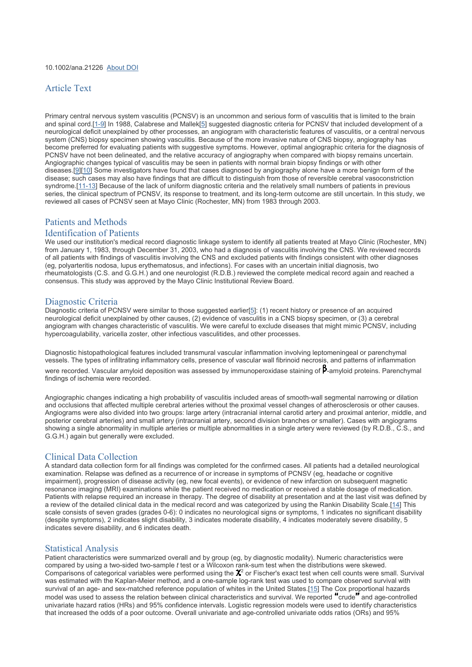# Article Text

Primary central nervous system vasculitis (PCNSV) is an uncommon and serious form of vasculitis that is limited to the brain and spinal cord.[\[1-9](#page-9-0)] In 1988, Calabrese and Mallek[[5](#page-9-0)] suggested diagnostic criteria for PCNSV that included development of a neurological deficit unexplained by other processes, an angiogram with characteristic features of vasculitis, or a central nervous system (CNS) biopsy specimen showing vasculitis. Because of the more invasive nature of CNS biopsy, angiography has become preferred for evaluating patients with suggestive symptoms. However, optimal angiographic criteria for the diagnosis of PCNSV have not been delineated, and the relative accuracy of angiography when compared with biopsy remains uncertain. Angiographic changes typical of vasculitis may be seen in patients with normal brain biopsy findings or with other diseases.[[9\]\[10\]](#page-9-0) Some investigators have found that cases diagnosed by angiography alone have a more benign form of the disease; such cases may also have findings that are difficult to distinguish from those of reversible cerebral vasoconstriction syndrome.[[11-13](#page-9-0)] Because of the lack of uniform diagnostic criteria and the relatively small numbers of patients in previous series, the clinical spectrum of PCNSV, its response to treatment, and its long-term outcome are still uncertain. In this study, we reviewed all cases of PCNSV seen at Mayo Clinic (Rochester, MN) from 1983 through 2003.

# Patients and Methods

#### Identification of Patients

We used our institution's medical record diagnostic linkage system to identify all patients treated at Mayo Clinic (Rochester, MN) from January 1, 1983, through December 31, 2003, who had a diagnosis of vasculitis involving the CNS. We reviewed records of all patients with findings of vasculitis involving the CNS and excluded patients with findings consistent with other diagnoses (eg, polyarteritis nodosa, lupus erythematosus, and infections). For cases with an uncertain initial diagnosis, two rheumatologists (C.S. and G.G.H.) and one neurologist (R.D.B.) reviewed the complete medical record again and reached a consensus. This study was approved by the Mayo Clinic Institutional Review Board.

### Diagnostic Criteria

Diagnostic criteria of PCNSV were similar to those suggested earlier[[5](#page-9-0)]: (1) recent history or presence of an acquired neurological deficit unexplained by other causes, (2) evidence of vasculitis in a CNS biopsy specimen, or (3) a cerebral angiogram with changes characteristic of vasculitis. We were careful to exclude diseases that might mimic PCNSV, including hypercoagulability, varicella zoster, other infectious vasculitides, and other processes.

Diagnostic histopathological features included transmural vascular inflammation involving leptomeningeal or parenchymal vessels. The types of infiltrating inflammatory cells, presence of vascular wall fibrinoid necrosis, and patterns of inflammation were recorded. Vascular amyloid deposition was assessed by immunoperoxidase staining of  $\beta$ -amyloid proteins. Parenchymal findings of ischemia were recorded.

Angiographic changes indicating a high probability of vasculitis included areas of smooth-wall segmental narrowing or dilation and occlusions that affected multiple cerebral arteries without the proximal vessel changes of atherosclerosis or other causes. Angiograms were also divided into two groups: large artery (intracranial internal carotid artery and proximal anterior, middle, and posterior cerebral arteries) and small artery (intracranial artery, second division branches or smaller). Cases with angiograms showing a single abnormality in multiple arteries or multiple abnormalities in a single artery were reviewed (by R.D.B., C.S., and G.G.H.) again but generally were excluded.

## Clinical Data Collection

A standard data collection form for all findings was completed for the confirmed cases. All patients had a detailed neurological examination. Relapse was defined as a recurrence of or increase in symptoms of PCNSV (eg, headache or cognitive impairment), progression of disease activity (eg, new focal events), or evidence of new infarction on subsequent magnetic resonance imaging (MRI) examinations while the patient received no medication or received a stable dosage of medication. Patients with relapse required an increase in therapy. The degree of disability at presentation and at the last visit was defined by a review of the detailed clinical data in the medical record and was categorized by using the Rankin Disability Scale.[\[14\]](#page-9-0) This scale consists of seven grades (grades 0-6): 0 indicates no neurological signs or symptoms, 1 indicates no significant disability (despite symptoms), 2 indicates slight disability, 3 indicates moderate disability, 4 indicates moderately severe disability, 5 indicates severe disability, and 6 indicates death.

### Statistical Analysis

Patient characteristics were summarized overall and by group (eg, by diagnostic modality). Numeric characteristics were compared by using a two-sided two-sample *t* test or a Wilcoxon rank-sum test when the distributions were skewed. Comparisons of categorical variables were performed using the  $X^2$  or Fischer's exact test when cell counts were small. Survival was estimated with the Kaplan-Meier method, and a one-sample log-rank test was used to compare observed survival with survival of an age- and sex-matched reference population of whites in the United States.[[15](#page-10-0)] The Cox proportional hazards model was used to assess the relation between clinical characteristics and survival. We reported crude and age-controlled univariate hazard ratios (HRs) and 95% confidence intervals. Logistic regression models were used to identify characteristics that increased the odds of a poor outcome. Overall univariate and age-controlled univariate odds ratios (ORs) and 95%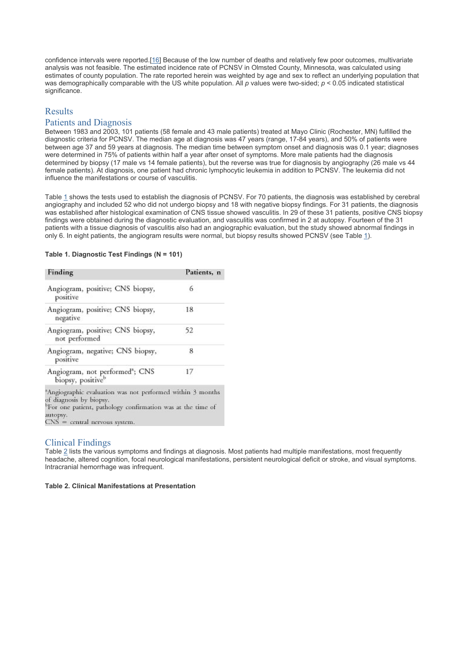confidence intervals were reported.[\[16\]](#page-10-0) Because of the low number of deaths and relatively few poor outcomes, multivariate analysis was not feasible. The estimated incidence rate of PCNSV in Olmsted County, Minnesota, was calculated using estimates of county population. The rate reported herein was weighted by age and sex to reflect an underlying population that was demographically comparable with the US white population. All *p* values were two-sided; *p* < 0.05 indicated statistical significance.

# Results

#### Patients and Diagnosis

Between 1983 and 2003, 101 patients (58 female and 43 male patients) treated at Mayo Clinic (Rochester, MN) fulfilled the diagnostic criteria for PCNSV. The median age at diagnosis was 47 years (range, 17-84 years), and 50% of patients were between age 37 and 59 years at diagnosis. The median time between symptom onset and diagnosis was 0.1 year; diagnoses were determined in 75% of patients within half a year after onset of symptoms. More male patients had the diagnosis determined by biopsy (17 male vs 14 female patients), but the reverse was true for diagnosis by angiography (26 male vs 44 female patients). At diagnosis, one patient had chronic lymphocytic leukemia in addition to PCNSV. The leukemia did not influence the manifestations or course of vasculitis.

Table 1 shows the tests used to establish the diagnosis of PCNSV. For 70 patients, the diagnosis was established by cerebral angiography and included 52 who did not undergo biopsy and 18 with negative biopsy findings. For 31 patients, the diagnosis was established after histological examination of CNS tissue showed vasculitis. In 29 of these 31 patients, positive CNS biopsy findings were obtained during the diagnostic evaluation, and vasculitis was confirmed in 2 at autopsy. Fourteen of the 31 patients with a tissue diagnosis of vasculitis also had an angiographic evaluation, but the study showed abnormal findings in only 6. In eight patients, the angiogram results were normal, but biopsy results showed PCNSV (see Table 1).

#### **Table 1. Diagnostic Test Findings (N = 101)**

| Finding                                                                                                                                                                                                                     | Patients, n |
|-----------------------------------------------------------------------------------------------------------------------------------------------------------------------------------------------------------------------------|-------------|
| Angiogram, positive; CNS biopsy,<br>positive                                                                                                                                                                                | 6           |
| Angiogram, positive; CNS biopsy,<br>negative                                                                                                                                                                                | 18          |
| Angiogram, positive; CNS biopsy,<br>not performed                                                                                                                                                                           | 52          |
| Angiogram, negative; CNS biopsy,<br>positive                                                                                                                                                                                | 8           |
| Angiogram, not performed <sup>3</sup> ; CNS<br>biopsy, positive <sup>b</sup>                                                                                                                                                | -17         |
| <sup>8</sup> Angiographic evaluation was not performed within 3 months<br>of diagnosis by biopsy.<br><sup>b</sup> For one patient, pathology confirmation was at the time of<br>autopsy.<br>$CNS = central$ nervous system. |             |

# Clinical Findings

Table 2 lists the various symptoms and findings at diagnosis. Most patients had multiple manifestations, most frequently headache, altered cognition, focal neurological manifestations, persistent neurological deficit or stroke, and visual symptoms. Intracranial hemorrhage was infrequent.

#### **Table 2. Clinical Manifestations at Presentation**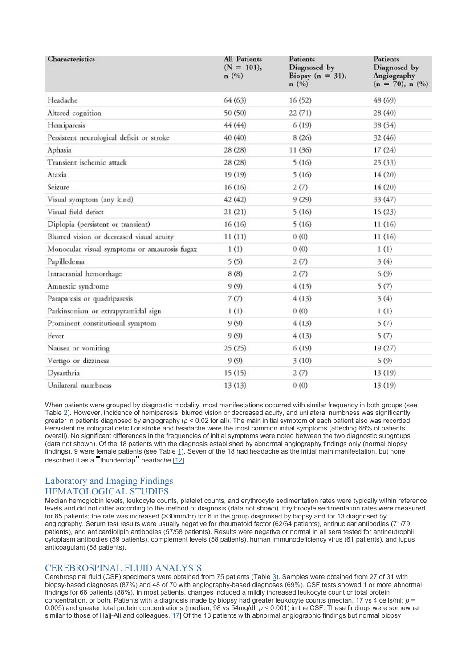| Characteristics                              | <b>All Patients</b><br>$(N = 101),$<br>n(%) | Patients<br>Diagnosed by<br>Biopsy $(n = 31)$ ,<br>n(%) | Patients<br>Diagnosed by<br>Angiography<br>$(n = 70)$ , n $(\%)$ |  |
|----------------------------------------------|---------------------------------------------|---------------------------------------------------------|------------------------------------------------------------------|--|
| Headache                                     | 64(63)                                      | 16(52)                                                  | 48 (69)                                                          |  |
| Altered cognition                            | 50 (50)                                     | 22(71)                                                  | 28 (40)                                                          |  |
| Hemiparesis                                  | 44 (44)                                     | 6(19)                                                   | 38 (54)                                                          |  |
| Persistent neurological deficit or stroke    | 40 (40)                                     | 8(26)                                                   | 32(46)                                                           |  |
| Aphasia                                      | 28(28)                                      | 11(36)                                                  | 17(24)                                                           |  |
| Transient ischemic attack                    | 28(28)                                      | 5(16)                                                   | 23(33)                                                           |  |
| Ataxia                                       | 19(19)                                      | 5(16)                                                   | 14(20)                                                           |  |
| Seizure                                      | 16(16)                                      | 2(7)                                                    | 14(20)                                                           |  |
| Visual symptom (any kind)                    | 42(42)                                      | 9(29)                                                   | 33 (47)                                                          |  |
| Visual field defect                          | 21(21)                                      | 5(16)                                                   | 16(23)                                                           |  |
| Diplopia (persistent or transient)           | 16(16)                                      | 5(16)                                                   | 11(16)                                                           |  |
| Blurred vision or decreased visual acuity    | 11(11)                                      | 0(0)                                                    | 11(16)                                                           |  |
| Monocular visual symptoms or amaurosis fugax | 1(1)                                        | 0(0)                                                    | 1(1)                                                             |  |
| Papilledema                                  | 5(5)                                        | 2(7)                                                    | 3(4)                                                             |  |
| Intracranial hemorrhage                      | 8(8)                                        | 2(7)                                                    | 6(9)                                                             |  |
| Amnestic syndrome                            | 9(9)                                        | 4(13)                                                   | 5(7)                                                             |  |
| Paraparesis or quadriparesis                 | 7(7)                                        | 4(13)                                                   | 3(4)                                                             |  |
| Parkinsonism or extrapyramidal sign          | 1(1)                                        | 0(0)                                                    | 1(1)                                                             |  |
| Prominent constitutional symptom             | 9(9)                                        | 4(13)                                                   | 5(7)                                                             |  |
| Fever                                        | 9(9)                                        | 4(13)                                                   | 5(7)                                                             |  |
| Nausea or vomiting                           | 25(25)                                      | 6(19)                                                   | 19 (27)                                                          |  |
| Vertigo or dizziness                         | 9(9)                                        | 3(10)                                                   | 6(9)                                                             |  |
| Dysarthria                                   | 15(15)                                      | 2(7)                                                    | 13 (19)                                                          |  |
| Unilateral numbness                          | 13(13)                                      | 0(0)                                                    | 13 (19)                                                          |  |

When patients were grouped by diagnostic modality, most manifestations occurred with similar frequency in both groups (see Table 2). However, incidence of hemiparesis, blurred vision or decreased acuity, and unilateral numbness was significantly greater in patients diagnosed by angiography (*p* < 0.02 for all). The main initial symptom of each patient also was recorded. Persistent neurological deficit or stroke and headache were the most common initial symptoms (affecting 68% of patients overall). No significant differences in the frequencies of initial symptoms were noted between the two diagnostic subgroups (data not shown). Of the 18 patients with the diagnosis established by abnormal angiography findings only (normal biopsy findings), 9 were female patients (see Table 1). Seven of the 18 had headache as the initial main manifestation, but none described it as a thunderclap headache.[12]

# Laboratory and Imaging Findings HEMATOLOGICAL STUDIES.

Median hemoglobin levels, leukocyte counts, platelet counts, and erythrocyte sedimentation rates were typically within reference levels and did not differ according to the method of diagnosis (data not shown). Erythrocyte sedimentation rates were measured for 85 patients; the rate was increased (>30mm/hr) for 6 in the group diagnosed by biopsy and for 13 diagnosed by angiography. Serum test results were usually negative for rheumatoid factor (62/64 patients), antinuclear antibodies (71/79 patients), and anticardiolipin antibodies (57/58 patients). Results were negative or normal in all sera tested for antineutrophil cytoplasm antibodies (59 patients), complement levels (58 patients), human immunodeficiency virus (61 patients), and lupus anticoagulant (58 patients).

# CEREBROSPINAL FLUID ANALYSIS.

Cerebrospinal fluid (CSF) specimens were obtained from 75 patients (Table 3). Samples were obtained from 27 of 31 with biopsy-based diagnoses (87%) and 48 of 70 with angiography-based diagnoses (69%). CSF tests showed 1 or more abnormal findings for 66 patients (88%). In most patients, changes included a mildly increased leukocyte count or total protein concentration, or both. Patients with a diagnosis made by biopsy had greater leukocyte counts (median, 17 vs 4 cells/ml;  $p =$ 0.005) and greater total protein concentrations (median, 98 vs 54mg/dl; *p* < 0.001) in the CSF. These findings were somewhat similar to those of Hajj-Ali and colleagues.[17] Of the 18 patients with abnormal angiographic findings but normal biopsy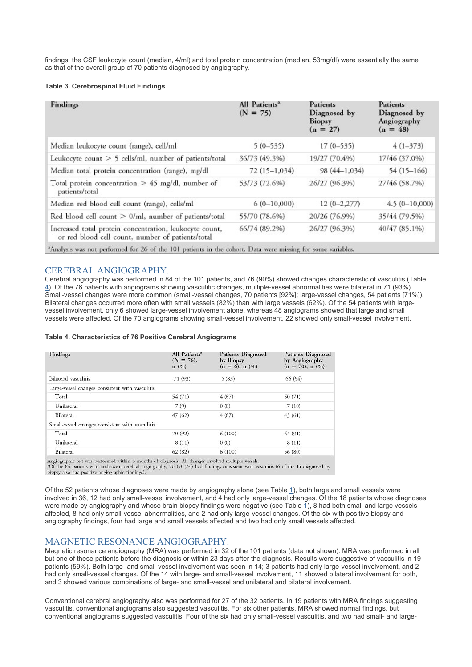findings, the CSF leukocyte count (median, 4/ml) and total protein concentration (median, 53mg/dl) were essentially the same as that of the overall group of 70 patients diagnosed by angiography.

#### **Table 3. Cerebrospinal Fluid Findings**

| Findings                                                                                                     | All Patients <sup>a</sup><br>$(N = 75)$ | Patients<br>Diagnosed by<br>Biopsy<br>$(n = 27)$ | Patients<br>Diagnosed by<br>Angiography<br>$(n = 48)$ |
|--------------------------------------------------------------------------------------------------------------|-----------------------------------------|--------------------------------------------------|-------------------------------------------------------|
| Median leukocyte count (range), cell/ml                                                                      | $5(0-535)$                              | $17(0-535)$                                      | $4(1-373)$                                            |
| Leukocyte count > 5 cells/ml, number of patients/total                                                       | 36/73 (49.3%)                           | 19/27 (70.4%)                                    | 17/46 (37.0%)                                         |
| Median total protein concentration (range), mg/dl                                                            | 72 (15-1,034)                           | 98 (44-1,034)                                    | 54 (15-166)                                           |
| Total protein concentration $> 45$ mg/dl, number of<br>patients/total                                        | 53/73 (72.6%)                           | 26/27 (96.3%)                                    | 27/46 (58.7%)                                         |
| Median red blood cell count (range), cells/ml                                                                | $6(0-10,000)$                           | $12(0-2,277)$                                    | $4.5(0-10,000)$                                       |
| Red blood cell count > 0/ml, number of patients/total                                                        | 55/70 (78.6%)                           | 20/26 (76.9%)                                    | 35/44 (79.5%)                                         |
| Increased total protein concentration, leukocyte count,<br>or red blood cell count, number of patients/total | 66/74 (89.2%)                           | 26/27 (96.3%)                                    | 40/47 (85.1%)                                         |
| *Analysis was not performed for 26 of the 101 patients in the cohort. Data were missing for some variables.  |                                         |                                                  |                                                       |

### CEREBRAL ANGIOGRAPHY.

Cerebral angiography was performed in 84 of the 101 patients, and 76 (90%) showed changes characteristic of vasculitis (Table 4). Of the 76 patients with angiograms showing vasculitic changes, multiple-vessel abnormalities were bilateral in 71 (93%). Small-vessel changes were more common (small-vessel changes, 70 patients [92%]; large-vessel changes, 54 patients [71%]). Bilateral changes occurred more often with small vessels (82%) than with large vessels (62%). Of the 54 patients with largevessel involvement, only 6 showed large-vessel involvement alone, whereas 48 angiograms showed that large and small vessels were affected. Of the 70 angiograms showing small-vessel involvement, 22 showed only small-vessel involvement.

#### **Table 4. Characteristics of 76 Positive Cerebral Angiograms**

| Findings                                        | All Patients <sup>®</sup><br>$(N = 76)$ ,<br>n(%) | Patients Diagnosed<br>by Biopsy<br>$(n = 6)$ , n $(\%)$ | Patients Diagnosed<br>by Angiography<br>$(n = 70)$ , n $(\%)$<br>66 (94) |  |
|-------------------------------------------------|---------------------------------------------------|---------------------------------------------------------|--------------------------------------------------------------------------|--|
| Bilateral vasculitis                            | 71 (93)                                           | 5(83)                                                   |                                                                          |  |
| Large-vessel changes consistent with vasculitis |                                                   |                                                         |                                                                          |  |
| Total                                           | 54 (71)                                           | 4(67)                                                   | 50 (71)                                                                  |  |
| Unilateral                                      | 7(9)                                              | 0(0)                                                    | 7(10)                                                                    |  |
| Bilateral                                       | 47(62)                                            | 4(67)                                                   | 43(61)                                                                   |  |
| Small-vessel changes consistent with vasculitis |                                                   |                                                         |                                                                          |  |
| Total                                           | 70 (92)                                           | 6(100)                                                  | 64 (91)                                                                  |  |
| Unilateral                                      | 8(11)                                             | 0(0)                                                    | 8(11)                                                                    |  |
| Bilateral                                       | 62(82)                                            | 6(100)                                                  | 56 (80)                                                                  |  |

component rest was personned within 2 months or diagnosis. An changes involved mutuple vessels.<br>The 84 patients who underwent cerebral angiography, 76 (90.5%) had findings consistent with vasculitis (6 of the 14 diagnosed

Of the 52 patients whose diagnoses were made by angiography alone (see Table 1), both large and small vessels were involved in 36, 12 had only small-vessel involvement, and 4 had only large-vessel changes. Of the 18 patients whose diagnoses were made by angiography and whose brain biopsy findings were negative (see Table 1), 8 had both small and large vessels affected, 8 had only small-vessel abnormalities, and 2 had only large-vessel changes. Of the six with positive biopsy and angiography findings, four had large and small vessels affected and two had only small vessels affected.

## MAGNETIC RESONANCE ANGIOGRAPHY.

Magnetic resonance angiography (MRA) was performed in 32 of the 101 patients (data not shown). MRA was performed in all but one of these patients before the diagnosis or within 23 days after the diagnosis. Results were suggestive of vasculitis in 19 patients (59%). Both large- and small-vessel involvement was seen in 14; 3 patients had only large-vessel involvement, and 2 had only small-vessel changes. Of the 14 with large- and small-vessel involvement, 11 showed bilateral involvement for both, and 3 showed various combinations of large- and small-vessel and unilateral and bilateral involvement.

Conventional cerebral angiography also was performed for 27 of the 32 patients. In 19 patients with MRA findings suggesting vasculitis, conventional angiograms also suggested vasculitis. For six other patients, MRA showed normal findings, but conventional angiograms suggested vasculitis. Four of the six had only small-vessel vasculitis, and two had small- and large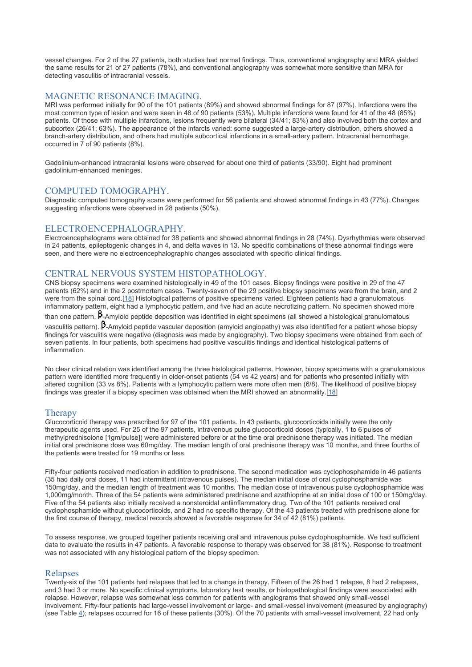vessel changes. For 2 of the 27 patients, both studies had normal findings. Thus, conventional angiography and MRA yielded the same results for 21 of 27 patients (78%), and conventional angiography was somewhat more sensitive than MRA for detecting vasculitis of intracranial vessels.

## MAGNETIC RESONANCE IMAGING.

MRI was performed initially for 90 of the 101 patients (89%) and showed abnormal findings for 87 (97%). Infarctions were the most common type of lesion and were seen in 48 of 90 patients (53%). Multiple infarctions were found for 41 of the 48 (85%) patients. Of those with multiple infarctions, lesions frequently were bilateral (34/41; 83%) and also involved both the cortex and subcortex (26/41; 63%). The appearance of the infarcts varied: some suggested a large-artery distribution, others showed a branch-artery distribution, and others had multiple subcortical infarctions in a small-artery pattern. Intracranial hemorrhage occurred in 7 of 90 patients (8%).

Gadolinium-enhanced intracranial lesions were observed for about one third of patients (33/90). Eight had prominent gadolinium-enhanced meninges.

### COMPUTED TOMOGRAPHY.

Diagnostic computed tomography scans were performed for 56 patients and showed abnormal findings in 43 (77%). Changes suggesting infarctions were observed in 28 patients (50%).

### ELECTROENCEPHALOGRAPHY.

Electroencephalograms were obtained for 38 patients and showed abnormal findings in 28 (74%). Dysrhythmias were observed in 24 patients, epileptogenic changes in 4, and delta waves in 13. No specific combinations of these abnormal findings were seen, and there were no electroencephalographic changes associated with specific clinical findings.

# CENTRAL NERVOUS SYSTEM HISTOPATHOLOGY.

CNS biopsy specimens were examined histologically in 49 of the 101 cases. Biopsy findings were positive in 29 of the 47 patients (62%) and in the 2 postmortem cases. Twenty-seven of the 29 positive biopsy specimens were from the brain, and 2 were from the spinal cord.[[18](#page-10-0)] Histological patterns of positive specimens varied. Eighteen patients had a granulomatous inflammatory pattern, eight had a lymphocytic pattern, and five had an acute necrotizing pattern. No specimen showed more

than one pattern.  $\beta$ -Amyloid peptide deposition was identified in eight specimens (all showed a histological granulomatous

vasculitis pattern).  $B$ -Amyloid peptide vascular deposition (amyloid angiopathy) was also identified for a patient whose biopsy findings for vasculitis were negative (diagnosis was made by angiography). Two biopsy specimens were obtained from each of seven patients. In four patients, both specimens had positive vasculitis findings and identical histological patterns of inflammation.

No clear clinical relation was identified among the three histological patterns. However, biopsy specimens with a granulomatous pattern were identified more frequently in older-onset patients (54 vs 42 years) and for patients who presented initially with altered cognition (33 vs 8%). Patients with a lymphocytic pattern were more often men (6/8). The likelihood of positive biopsy findings was greater if a biopsy specimen was obtained when the MRI showed an abnormality.[[18](#page-10-0)]

### **Therapy**

Glucocorticoid therapy was prescribed for 97 of the 101 patients. In 43 patients, glucocorticoids initially were the only therapeutic agents used. For 25 of the 97 patients, intravenous pulse glucocorticoid doses (typically, 1 to 6 pulses of methylprednisolone [1gm/pulse]) were administered before or at the time oral prednisone therapy was initiated. The median initial oral prednisone dose was 60mg/day. The median length of oral prednisone therapy was 10 months, and three fourths of the patients were treated for 19 months or less.

Fifty-four patients received medication in addition to prednisone. The second medication was cyclophosphamide in 46 patients (35 had daily oral doses, 11 had intermittent intravenous pulses). The median initial dose of oral cyclophosphamide was 150mg/day, and the median length of treatment was 10 months. The median dose of intravenous pulse cyclophosphamide was 1,000mg/month. Three of the 54 patients were administered prednisone and azathioprine at an initial dose of 100 or 150mg/day. Five of the 54 patients also initially received a nonsteroidal antiinflammatory drug. Two of the 101 patients received oral cyclophosphamide without glucocorticoids, and 2 had no specific therapy. Of the 43 patients treated with prednisone alone for the first course of therapy, medical records showed a favorable response for 34 of 42 (81%) patients.

To assess response, we grouped together patients receiving oral and intravenous pulse cyclophosphamide. We had sufficient data to evaluate the results in 47 patients. A favorable response to therapy was observed for 38 (81%). Response to treatment was not associated with any histological pattern of the biopsy specimen.

#### **Relapses**

Twenty-six of the 101 patients had relapses that led to a change in therapy. Fifteen of the 26 had 1 relapse, 8 had 2 relapses, and 3 had 3 or more. No specific clinical symptoms, laboratory test results, or histopathological findings were associated with relapse. However, relapse was somewhat less common for patients with angiograms that showed only small-vessel involvement. Fifty-four patients had large-vessel involvement or large- and small-vessel involvement (measured by angiography) (see Table 4); relapses occurred for 16 of these patients (30%). Of the 70 patients with small-vessel involvement, 22 had only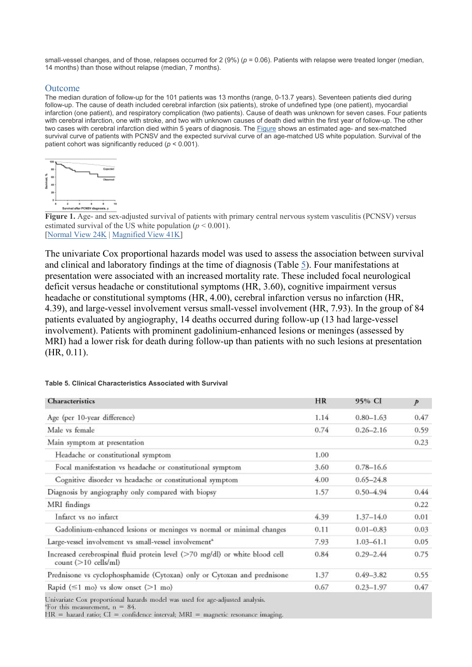small-vessel changes, and of those, relapses occurred for 2 (9%) ( $p = 0.06$ ). Patients with relapse were treated longer (median, 14 months) than those without relapse (median, 7 months).

## Outcome

The median duration of follow-up for the 101 patients was 13 months (range, 0-13.7 years). Seventeen patients died during follow-up. The cause of death included cerebral infarction (six patients), stroke of undefined type (one patient), myocardial infarction (one patient), and respiratory complication (two patients). Cause of death was unknown for seven cases. Four patients with cerebral infarction, one with stroke, and two with unknown causes of death died within the first year of follow-up. The other two cases with cerebral infarction died within 5 years of diagnosis. The Figure shows an estimated age- and sex-matched survival curve of patients with PCNSV and the expected survival curve of an age-matched US white population. Survival of the patient cohort was significantly reduced (*p* < 0.001).



**Figure 1.** Age- and sex-adjusted survival of patients with primary central nervous system vasculitis (PCNSV) versus estimated survival of the US white population  $(p < 0.001)$ . [Normal View 24K | Magnified View 41K]

The univariate Cox proportional hazards model was used to assess the association between survival and clinical and laboratory findings at the time of diagnosis (Table 5). Four manifestations at presentation were associated with an increased mortality rate. These included focal neurological deficit versus headache or constitutional symptoms (HR, 3.60), cognitive impairment versus headache or constitutional symptoms (HR, 4.00), cerebral infarction versus no infarction (HR, 4.39), and large-vessel involvement versus small-vessel involvement (HR, 7.93). In the group of 84 patients evaluated by angiography, 14 deaths occurred during follow-up (13 had large-vessel involvement). Patients with prominent gadolinium-enhanced lesions or meninges (assessed by MRI) had a lower risk for death during follow-up than patients with no such lesions at presentation (HR, 0.11).

| <b>Characteristics</b>                                                                                         | HR   | 95% CI        | $\mathcal{P}$ |
|----------------------------------------------------------------------------------------------------------------|------|---------------|---------------|
| Age (per 10-year difference)                                                                                   | 1.14 | $0.80 - 1.63$ | 0.47          |
| Male ys female                                                                                                 | 0.74 | $0.26 - 2.16$ | 0.59          |
| Main symptom at presentation                                                                                   |      |               | 0.23          |
| Headache or constitutional symptom                                                                             | 1.00 |               |               |
| Focal manifestation vs headache or constitutional symptom                                                      | 3.60 | $0.78 - 16.6$ |               |
| Cognitive disorder vs headache or constitutional symptom                                                       | 4.00 | $0.65 - 24.8$ |               |
| Diagnosis by angiography only compared with biopsy                                                             | 1.57 | $0.50 - 4.94$ | 0.44          |
| MRI findings                                                                                                   |      |               | 0.22          |
| Infarct vs no infarct                                                                                          | 4.39 | $1.37 - 14.0$ | 0.01          |
| Gadolinium-enhanced lesions or meninges vs normal or minimal changes                                           | 0.11 | $0.01 - 0.83$ | 0.03          |
| Large-vessel involvement vs small-vessel involvement <sup>*</sup>                                              | 7.93 | $1.03 - 61.1$ | 0.05          |
| Increased cerebrospinal fluid protein level (>70 mg/dl) or white blood cell<br>$count (>10$ cells/ml)          | 0.84 | $0.29 - 2.44$ | 0.75          |
| Prednisone vs cyclophosphamide (Cytoxan) only or Cytoxan and prednisone                                        | 1.37 | $0.49 - 3.82$ | 0.55          |
| Rapid ( $\leq$ 1 mo) vs slow onset ( $>$ 1 mo)                                                                 | 0.67 | $0.23 - 1.97$ | 0.47          |
| In the control of the common second control of the control of the control of the control of the control of the |      |               |               |

### **Table 5. Clinical Characteristics Associated with Survival**

Univariate Cox proportional hazards model was used for age-adjusted analysis.

'For this measurement, n = 84.

 $HR =$  hazard ratio;  $CI =$  confidence interval;  $MRI =$  magnetic resonance imaging.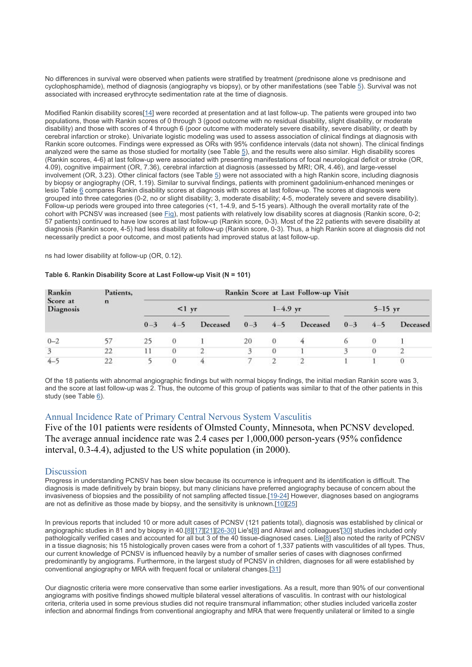No differences in survival were observed when patients were stratified by treatment (prednisone alone vs prednisone and cyclophosphamide), method of diagnosis (angiography vs biopsy), or by other manifestations (see Table 5). Survival was not associated with increased erythrocyte sedimentation rate at the time of diagnosis.

Modified Rankin disability scores[14] were recorded at presentation and at last follow-up. The patients were grouped into two populations, those with Rankin scores of 0 through 3 (good outcome with no residual disability, slight disability, or moderate disability) and those with scores of 4 through 6 (poor outcome with moderately severe disability, severe disability, or death by cerebral infarction or stroke). Univariate logistic modeling was used to assess association of clinical findings at diagnosis with Rankin score outcomes. Findings were expressed as ORs with 95% confidence intervals (data not shown). The clinical findings analyzed were the same as those studied for mortality (see Table 5), and the results were also similar. High disability scores (Rankin scores, 4-6) at last follow-up were associated with presenting manifestations of focal neurological deficit or stroke (OR, 4.09), cognitive impairment (OR, 7.36), cerebral infarction at diagnosis (assessed by MRI; OR, 4.46), and large-vessel involvement (OR, 3.23). Other clinical factors (see Table  $5$ ) were not associated with a high Rankin score, including diagnosis by biopsy or angiography (OR, 1.19). Similar to survival findings, patients with prominent gadolinium-enhanced meninges or lesio Table 6 compares Rankin disability scores at diagnosis with scores at last follow-up. The scores at diagnosis were grouped into three categories (0-2, no or slight disability; 3, moderate disability; 4-5, moderately severe and severe disability). Follow-up periods were grouped into three categories (<1, 1-4.9, and 5-15 years). Although the overall mortality rate of the cohort with PCNSV was increased (see Fig), most patients with relatively low disability scores at diagnosis (Rankin score, 0-2; 57 patients) continued to have low scores at last follow-up (Rankin score, 0-3). Most of the 22 patients with severe disability at diagnosis (Rankin score, 4-5) had less disability at follow-up (Rankin score, 0-3). Thus, a high Rankin score at diagnosis did not necessarily predict a poor outcome, and most patients had improved status at last follow-up.

ns had lower disability at follow-up (OR, 0.12).

| Rankin<br>Score at<br><b>Diagnosis</b> | Patients,<br>$\mathbf n$ | Rankin Score at Last Follow-up Visit |          |            |          |          |             |              |         |         |
|----------------------------------------|--------------------------|--------------------------------------|----------|------------|----------|----------|-------------|--------------|---------|---------|
|                                        |                          | $<1$ yr                              |          | $1-4.9$ yr |          |          | $5 - 15$ yr |              |         |         |
|                                        |                          |                                      | $0 - 3$  | $4 - 5$    | Deceased | $0 - 3$  |             | 4-5 Deceased | $0 - 3$ | $4 - 5$ |
| $0 - 2$                                | 57                       | 25                                   | $\Omega$ |            | 20       | $\theta$ |             |              |         |         |
| $\overline{3}$                         | 22                       | 11                                   | $\theta$ |            |          | $\theta$ |             |              |         |         |
| $4-$                                   | 22                       |                                      |          |            |          |          |             |              |         |         |

#### **Table 6. Rankin Disability Score at Last Follow-up Visit (N = 101)**

Of the 18 patients with abnormal angiographic findings but with normal biopsy findings, the initial median Rankin score was 3, and the score at last follow-up was 2. Thus, the outcome of this group of patients was similar to that of the other patients in this study (see Table 6).

# Annual Incidence Rate of Primary Central Nervous System Vasculitis

Five of the 101 patients were residents of Olmsted County, Minnesota, when PCNSV developed. The average annual incidence rate was 2.4 cases per 1,000,000 person-years (95% confidence interval, 0.3-4.4), adjusted to the US white population (in 2000).

### **Discussion**

Progress in understanding PCNSV has been slow because its occurrence is infrequent and its identification is difficult. The diagnosis is made definitively by brain biopsy, but many clinicians have preferred angiography because of concern about the invasiveness of biopsies and the possibility of not sampling affected tissue.[19-24] However, diagnoses based on angiograms are not as definitive as those made by biopsy, and the sensitivity is unknown.[10][25]

In previous reports that included 10 or more adult cases of PCNSV (121 patients total), diagnosis was established by clinical or angiographic studies in 81 and by biopsy in 40.[8][17][21][26-30] Lie's[8] and Alrawi and colleagues'[30] studies included only pathologically verified cases and accounted for all but 3 of the 40 tissue-diagnosed cases. Lie[8] also noted the rarity of PCNSV in a tissue diagnosis; his 15 histologically proven cases were from a cohort of 1,337 patients with vasculitides of all types. Thus, our current knowledge of PCNSV is influenced heavily by a number of smaller series of cases with diagnoses confirmed predominantly by angiograms. Furthermore, in the largest study of PCNSV in children, diagnoses for all were established by conventional angiography or MRA with frequent focal or unilateral changes.[31]

Our diagnostic criteria were more conservative than some earlier investigations. As a result, more than 90% of our conventional angiograms with positive findings showed multiple bilateral vessel alterations of vasculitis. In contrast with our histological criteria, criteria used in some previous studies did not require transmural inflammation; other studies included varicella zoster infection and abnormal findings from conventional angiography and MRA that were frequently unilateral or limited to a single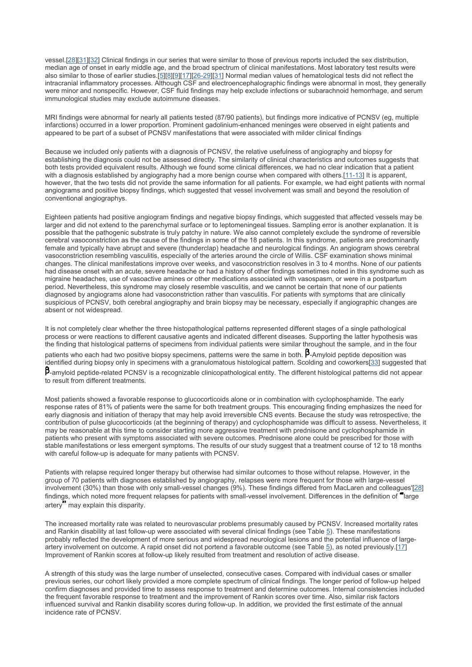vessel.[[28](#page-10-0)][[31](#page-10-0)][[32](#page-10-0)] Clinical findings in our series that were similar to those of previous reports included the sex distribution, median age of onset in early middle age, and the broad spectrum of clinical manifestations. Most laboratory test results were also similar to those of earlier studies.[\[5\]](#page-9-0)[[8](#page-9-0)][\[9\]](#page-9-0)[[17](#page-10-0)][[26-29](#page-10-0)][\[31\]](#page-10-0) Normal median values of hematological tests did not reflect the intracranial inflammatory processes. Although CSF and electroencephalographic findings were abnormal in most, they generally were minor and nonspecific. However, CSF fluid findings may help exclude infections or subarachnoid hemorrhage, and serum immunological studies may exclude autoimmune diseases.

MRI findings were abnormal for nearly all patients tested (87/90 patients), but findings more indicative of PCNSV (eg, multiple infarctions) occurred in a lower proportion. Prominent gadolinium-enhanced meninges were observed in eight patients and appeared to be part of a subset of PCNSV manifestations that were associated with milder clinical findings

Because we included only patients with a diagnosis of PCNSV, the relative usefulness of angiography and biopsy for establishing the diagnosis could not be assessed directly. The similarity of clinical characteristics and outcomes suggests that both tests provided equivalent results. Although we found some clinical differences, we had no clear indication that a patient with a diagnosis established by angiography had a more benign course when compared with others.[\[11-13\]](#page-9-0) It is apparent, however, that the two tests did not provide the same information for all patients. For example, we had eight patients with normal angiograms and positive biopsy findings, which suggested that vessel involvement was small and beyond the resolution of conventional angiographys.

Eighteen patients had positive angiogram findings and negative biopsy findings, which suggested that affected vessels may be larger and did not extend to the parenchymal surface or to leptomeningeal tissues. Sampling error is another explanation. It is possible that the pathogenic substrate is truly patchy in nature. We also cannot completely exclude the syndrome of reversible cerebral vasoconstriction as the cause of the findings in some of the 18 patients. In this syndrome, patients are predominantly female and typically have abrupt and severe (thunderclap) headache and neurological findings. An angiogram shows cerebral vasoconstriction resembling vasculitis, especially of the arteries around the circle of Willis. CSF examination shows minimal changes. The clinical manifestations improve over weeks, and vasoconstriction resolves in 3 to 4 months. None of our patients had disease onset with an acute, severe headache or had a history of other findings sometimes noted in this syndrome such as migraine headaches, use of vasoactive amines or other medications associated with vasospasm, or were in a postpartum period. Nevertheless, this syndrome may closely resemble vasculitis, and we cannot be certain that none of our patients diagnosed by angiograms alone had vasoconstriction rather than vasculitis. For patients with symptoms that are clinically suspicious of PCNSV, both cerebral angiography and brain biopsy may be necessary, especially if angiographic changes are absent or not widespread.

It is not completely clear whether the three histopathological patterns represented different stages of a single pathological process or were reactions to different causative agents and indicated different diseases. Supporting the latter hypothesis was the finding that histological patterns of specimens from individual patients were similar throughout the sample, and in the four patients who each had two positive biopsy specimens, patterns were the same in both.  $B$ -Amyloid peptide deposition was identified during biopsy only in specimens with a granulomatous histological pattern. Scolding and coworkers[\[33\]](#page-10-0) suggested that B-amyloid peptide-related PCNSV is a recognizable clinicopathological entity. The different histological patterns did not appear to result from different treatments.

Most patients showed a favorable response to glucocorticoids alone or in combination with cyclophosphamide. The early response rates of 81% of patients were the same for both treatment groups. This encouraging finding emphasizes the need for early diagnosis and initiation of therapy that may help avoid irreversible CNS events. Because the study was retrospective, the contribution of pulse glucocorticoids (at the beginning of therapy) and cyclophosphamide was difficult to assess. Nevertheless, it may be reasonable at this time to consider starting more aggressive treatment with prednisone and cyclophosphamide in patients who present with symptoms associated with severe outcomes. Prednisone alone could be prescribed for those with stable manifestations or less emergent symptoms. The results of our study suggest that a treatment course of 12 to 18 months with careful follow-up is adequate for many patients with PCNSV.

Patients with relapse required longer therapy but otherwise had similar outcomes to those without relapse. However, in the group of 70 patients with diagnoses established by angiography, relapses were more frequent for those with large-vessel involvement (30%) than those with only small-vessel changes (9%). These findings differed from MacLaren and colleagues'[\[28\]](#page-10-0) findings, which noted more frequent relapses for patients with small-vessel involvement. Differences in the definition of "large" artery may explain this disparity.

The increased mortality rate was related to neurovascular problems presumably caused by PCNSV. Increased mortality rates and Rankin disability at last follow-up were associated with several clinical findings (see Table 5). These manifestations probably reflected the development of more serious and widespread neurological lesions and the potential influence of largeartery involvement on outcome. A rapid onset did not portend a favorable outcome (see Table 5), as noted previously.[17] Improvement of Rankin scores at follow-up likely resulted from treatment and resolution of active disease.

A strength of this study was the large number of unselected, consecutive cases. Compared with individual cases or smaller previous series, our cohort likely provided a more complete spectrum of clinical findings. The longer period of follow-up helped confirm diagnoses and provided time to assess response to treatment and determine outcomes. Internal consistencies included the frequent favorable response to treatment and the improvement of Rankin scores over time. Also, similar risk factors influenced survival and Rankin disability scores during follow-up. In addition, we provided the first estimate of the annual incidence rate of PCNSV.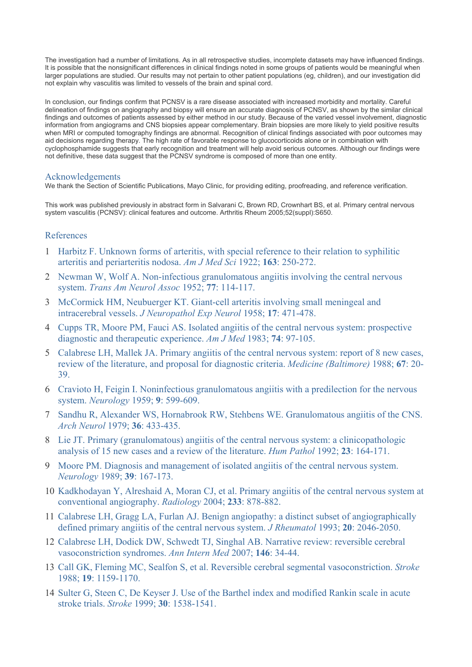<span id="page-9-0"></span>The investigation had a number of limitations. As in all retrospective studies, incomplete datasets may have influenced findings. It is possible that the nonsignificant differences in clinical findings noted in some groups of patients would be meaningful when larger populations are studied. Our results may not pertain to other patient populations (eg, children), and our investigation did not explain why vasculitis was limited to vessels of the brain and spinal cord.

In conclusion, our findings confirm that PCNSV is a rare disease associated with increased morbidity and mortality. Careful delineation of findings on angiography and biopsy will ensure an accurate diagnosis of PCNSV, as shown by the similar clinical findings and outcomes of patients assessed by either method in our study. Because of the varied vessel involvement, diagnostic information from angiograms and CNS biopsies appear complementary. Brain biopsies are more likely to yield positive results when MRI or computed tomography findings are abnormal. Recognition of clinical findings associated with poor outcomes may aid decisions regarding therapy. The high rate of favorable response to glucocorticoids alone or in combination with cyclophosphamide suggests that early recognition and treatment will help avoid serious outcomes. Although our findings were not definitive, these data suggest that the PCNSV syndrome is composed of more than one entity.

# Acknowledgements

We thank the Section of Scientific Publications, Mayo Clinic, for providing editing, proofreading, and reference verification.

This work was published previously in abstract form in Salvarani C, Brown RD, Crownhart BS, et al. Primary central nervous system vasculitis (PCNSV): clinical features and outcome. Arthritis Rheum 2005;52(suppl):S650.

# References

- 1 Harbitz F. Unknown forms of arteritis, with special reference to their relation to syphilitic arteritis and periarteritis nodosa. *Am J Med Sci* 1922; **163**: 250-272.
- 2 Newman W, Wolf A. Non-infectious granulomatous angiitis involving the central nervous system. *Trans Am Neurol Assoc* 1952; **77**: 114-117.
- 3 McCormick HM, Neubuerger KT. Giant-cell arteritis involving small meningeal and intracerebral vessels. *J Neuropathol Exp Neurol* 1958; **17**: 471-478.
- 4 Cupps TR, Moore PM, Fauci AS. Isolated angiitis of the central nervous system: prospective diagnostic and therapeutic experience. *Am J Med* 1983; **74**: 97-105.
- 5 Calabrese LH, Mallek JA. Primary angiitis of the central nervous system: report of 8 new cases, review of the literature, and proposal for diagnostic criteria. *Medicine (Baltimore)* 1988; **67**: 20- 39.
- 6 Cravioto H, Feigin I. Noninfectious granulomatous angiitis with a predilection for the nervous system. *Neurology* 1959; **9**: 599-609.
- 7 Sandhu R, Alexander WS, Hornabrook RW, Stehbens WE. Granulomatous angiitis of the CNS. *Arch Neurol* 1979; **36**: 433-435.
- 8 Lie JT. Primary (granulomatous) angiitis of the central nervous system: a clinicopathologic analysis of 15 new cases and a review of the literature. *Hum Pathol* 1992; **23**: 164-171.
- 9 Moore PM. Diagnosis and management of isolated angiitis of the central nervous system. *Neurology* 1989; **39**: 167-173.
- 10 Kadkhodayan Y, Alreshaid A, Moran CJ, et al. Primary angiitis of the central nervous system at conventional angiography. *Radiology* 2004; **233**: 878-882.
- 11 Calabrese LH, Gragg LA, Furlan AJ. Benign angiopathy: a distinct subset of angiographically defined primary angiitis of the central nervous system. *J Rheumatol* 1993; **20**: 2046-2050.
- 12 Calabrese LH, Dodick DW, Schwedt TJ, Singhal AB. Narrative review: reversible cerebral vasoconstriction syndromes. *Ann Intern Med* 2007; **146**: 34-44.
- 13 Call GK, Fleming MC, Sealfon S, et al. Reversible cerebral segmental vasoconstriction. *Stroke* 1988; **19**: 1159-1170.
- 14 Sulter G, Steen C, De Keyser J. Use of the Barthel index and modified Rankin scale in acute stroke trials. *Stroke* 1999; **30**: 1538-1541.